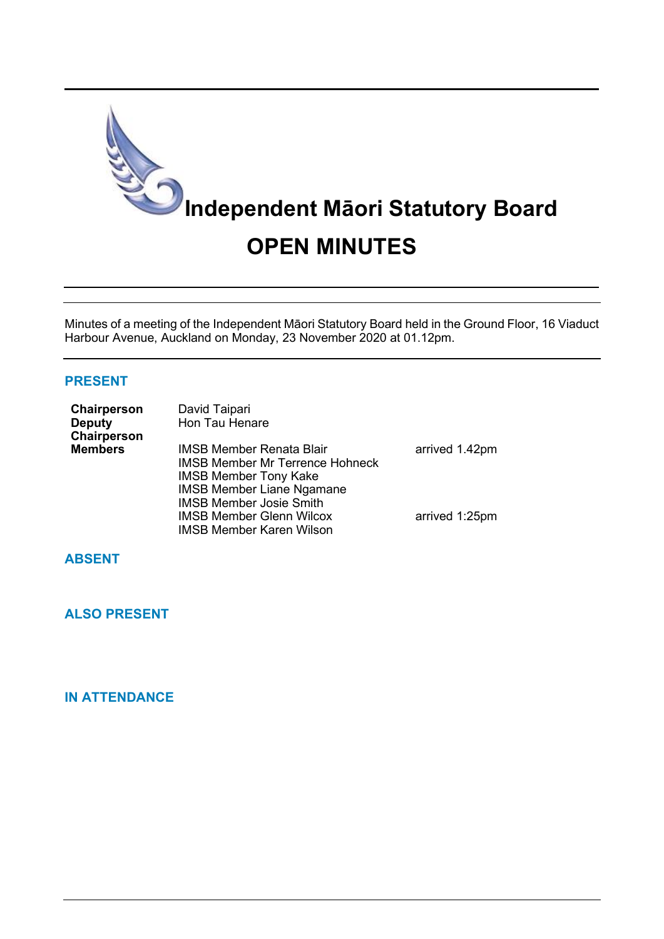

Minutes of a meeting of the Independent Māori Statutory Board held in the Ground Floor, 16 Viaduct Harbour Avenue, Auckland on Monday, 23 November 2020 at 01.12pm.

## **PRESENT**

| Chairperson<br><b>Deputy</b> | David Taipari<br>Hon Tau Henare        |                |
|------------------------------|----------------------------------------|----------------|
| Chairperson                  |                                        |                |
| <b>Members</b>               | <b>IMSB Member Renata Blair</b>        | arrived 1.42pm |
|                              | <b>IMSB Member Mr Terrence Hohneck</b> |                |
|                              | <b>IMSB Member Tony Kake</b>           |                |
|                              | <b>IMSB Member Liane Ngamane</b>       |                |
|                              | <b>IMSB Member Josie Smith</b>         |                |
|                              | <b>IMSB Member Glenn Wilcox</b>        | arrived 1:25pm |
|                              | <b>IMSB Member Karen Wilson</b>        |                |

## **ABSENT**

## **ALSO PRESENT**

## **IN ATTENDANCE**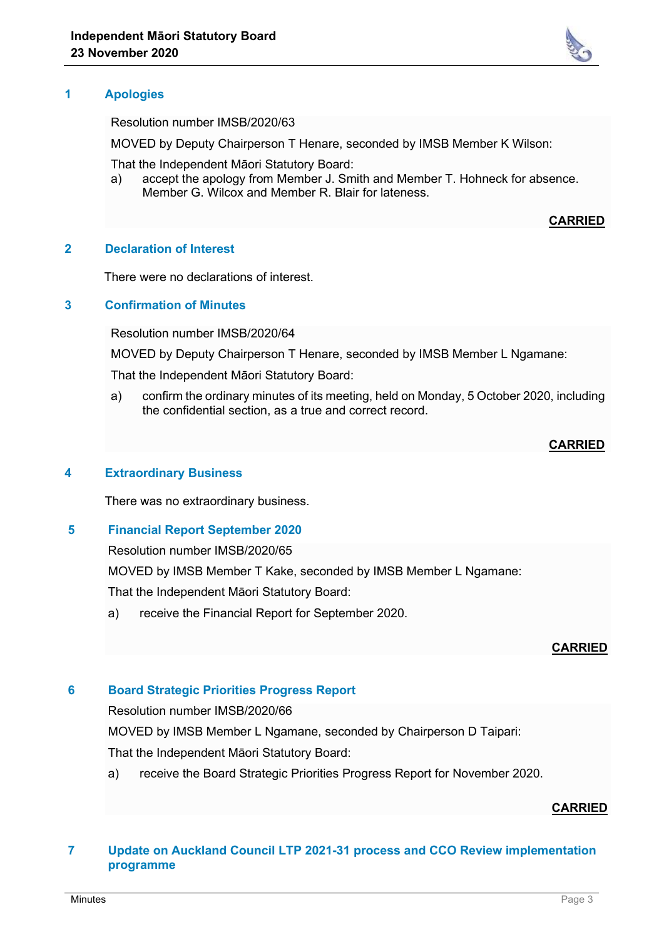

Resolution number IMSB/2020/63

MOVED by Deputy Chairperson T Henare, seconded by IMSB Member K Wilson:

That the Independent Māori Statutory Board:

a) accept the apology from Member J. Smith and Member T. Hohneck for absence. Member G. Wilcox and Member R. Blair for lateness.

### **CARRIED**

### **2 Declaration of Interest**

There were no declarations of interest.

### **3 Confirmation of Minutes**

Resolution number IMSB/2020/64

MOVED by Deputy Chairperson T Henare, seconded by IMSB Member L Ngamane:

That the Independent Māori Statutory Board:

a) confirm the ordinary minutes of its meeting, held on Monday, 5 October 2020, including the confidential section, as a true and correct record.

### **CARRIED**

### **4 Extraordinary Business**

There was no extraordinary business.

### **5 Financial Report September 2020**

Resolution number IMSB/2020/65

MOVED by IMSB Member T Kake, seconded by IMSB Member L Ngamane:

That the Independent Māori Statutory Board:

a) receive the Financial Report for September 2020.

### **CARRIED**

### **6 Board Strategic Priorities Progress Report**

Resolution number IMSB/2020/66

MOVED by IMSB Member L Ngamane, seconded by Chairperson D Taipari:

That the Independent Māori Statutory Board:

a) receive the Board Strategic Priorities Progress Report for November 2020.

### **CARRIED**

## **7 Update on Auckland Council LTP 2021-31 process and CCO Review implementation programme**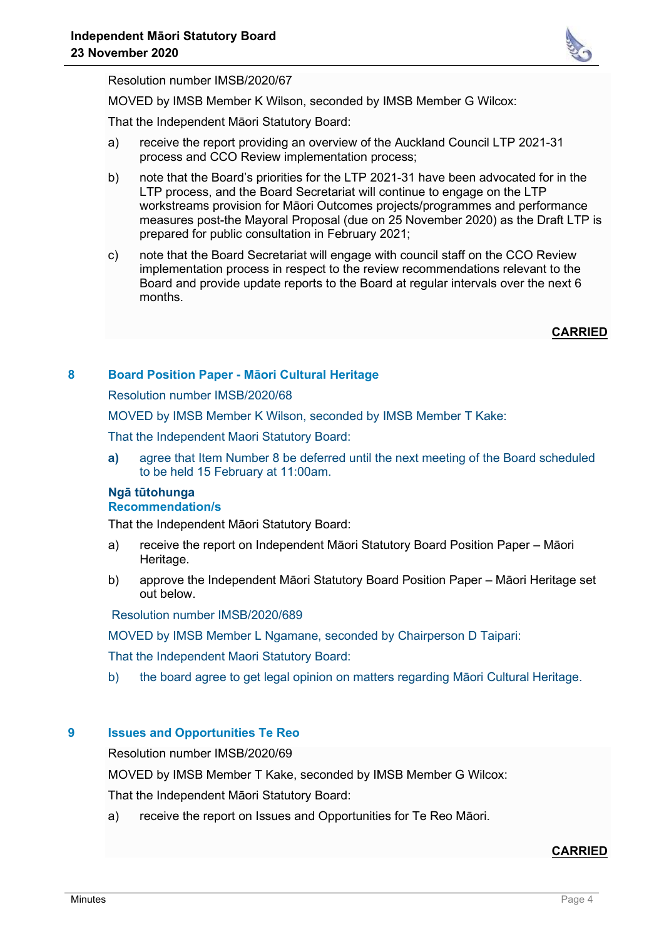

Resolution number IMSB/2020/67

MOVED by IMSB Member K Wilson, seconded by IMSB Member G Wilcox:

That the Independent Māori Statutory Board:

- a) receive the report providing an overview of the Auckland Council LTP 2021-31 process and CCO Review implementation process;
- b) note that the Board's priorities for the LTP 2021-31 have been advocated for in the LTP process, and the Board Secretariat will continue to engage on the LTP workstreams provision for Māori Outcomes projects/programmes and performance measures post-the Mayoral Proposal (due on 25 November 2020) as the Draft LTP is prepared for public consultation in February 2021;
- c) note that the Board Secretariat will engage with council staff on the CCO Review implementation process in respect to the review recommendations relevant to the Board and provide update reports to the Board at regular intervals over the next 6 months.

**CARRIED**

## **8 Board Position Paper - Māori Cultural Heritage**

Resolution number IMSB/2020/68

MOVED by IMSB Member K Wilson, seconded by IMSB Member T Kake:

That the Independent Maori Statutory Board:

**a)** agree that Item Number 8 be deferred until the next meeting of the Board scheduled to be held 15 February at 11:00am.

# **Ngā tūtohunga**

# **Recommendation/s**

That the Independent Māori Statutory Board:

- a) receive the report on Independent Māori Statutory Board Position Paper Māori Heritage.
- b) approve the Independent Māori Statutory Board Position Paper Māori Heritage set out below.

Resolution number IMSB/2020/689

MOVED by IMSB Member L Ngamane, seconded by Chairperson D Taipari:

That the Independent Maori Statutory Board:

b) the board agree to get legal opinion on matters regarding Māori Cultural Heritage.

## **9 Issues and Opportunities Te Reo**

Resolution number IMSB/2020/69

MOVED by IMSB Member T Kake, seconded by IMSB Member G Wilcox:

That the Independent Māori Statutory Board:

a) receive the report on Issues and Opportunities for Te Reo Māori.

## **CARRIED**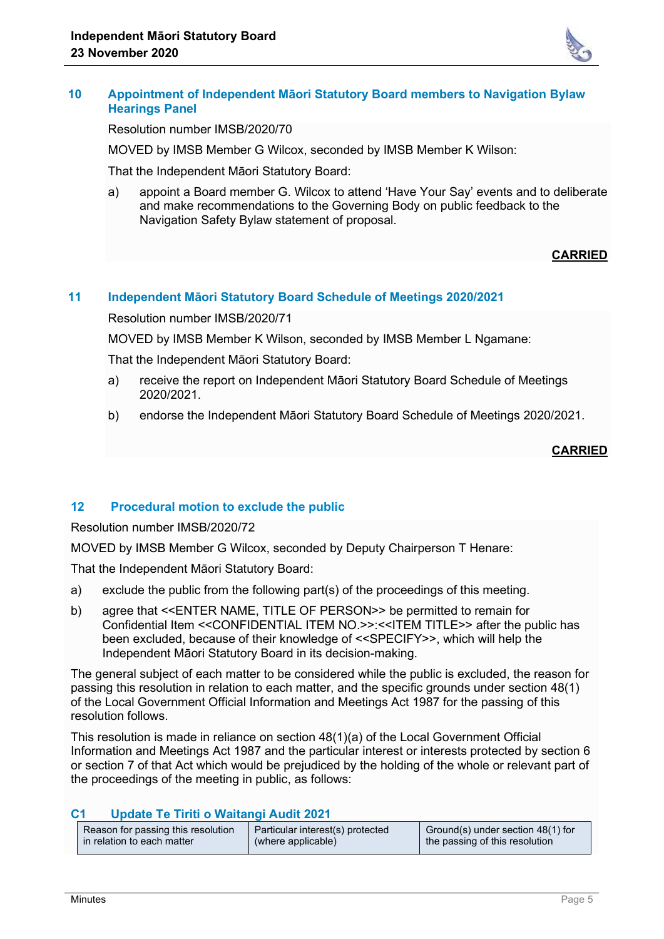

## **10 Appointment of Independent Māori Statutory Board members to Navigation Bylaw Hearings Panel**

Resolution number IMSB/2020/70

MOVED by IMSB Member G Wilcox, seconded by IMSB Member K Wilson:

That the Independent Māori Statutory Board:

a) appoint a Board member G. Wilcox to attend 'Have Your Say' events and to deliberate and make recommendations to the Governing Body on public feedback to the Navigation Safety Bylaw statement of proposal.

## **CARRIED**

## **11 Independent Māori Statutory Board Schedule of Meetings 2020/2021**

Resolution number IMSB/2020/71

MOVED by IMSB Member K Wilson, seconded by IMSB Member L Ngamane:

That the Independent Māori Statutory Board:

- a) receive the report on Independent Māori Statutory Board Schedule of Meetings 2020/2021.
- b) endorse the Independent Māori Statutory Board Schedule of Meetings 2020/2021.

## **CARRIED**

## **12 Procedural motion to exclude the public**

Resolution number IMSB/2020/72

MOVED by IMSB Member G Wilcox, seconded by Deputy Chairperson T Henare:

That the Independent Māori Statutory Board:

- a) exclude the public from the following part(s) of the proceedings of this meeting.
- b) agree that <<ENTER NAME, TITLE OF PERSON>> be permitted to remain for Confidential Item <<CONFIDENTIAL ITEM NO.>>:<<ITEM TITLE>> after the public has been excluded, because of their knowledge of <<SPECIFY>>, which will help the Independent Māori Statutory Board in its decision-making.

The general subject of each matter to be considered while the public is excluded, the reason for passing this resolution in relation to each matter, and the specific grounds under section 48(1) of the Local Government Official Information and Meetings Act 1987 for the passing of this resolution follows.

This resolution is made in reliance on section 48(1)(a) of the Local Government Official Information and Meetings Act 1987 and the particular interest or interests protected by section 6 or section 7 of that Act which would be prejudiced by the holding of the whole or relevant part of the proceedings of the meeting in public, as follows:

## **C1 Update Te Tiriti o Waitangi Audit 2021**

| Reason for passing this resolution | Particular interest(s) protected | Ground(s) under section 48(1) for |
|------------------------------------|----------------------------------|-----------------------------------|
| in relation to each matter         | (where applicable)               | the passing of this resolution    |